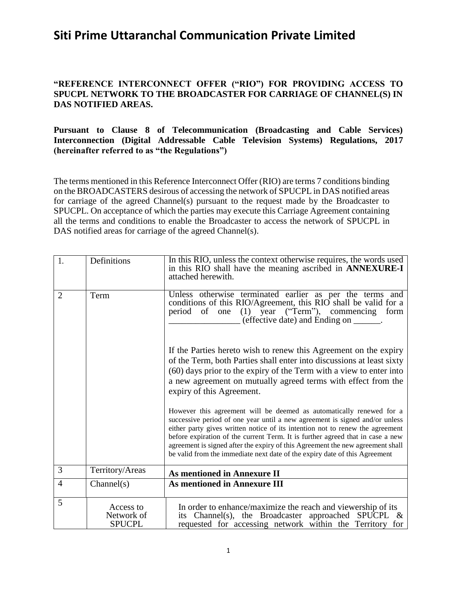### **"REFERENCE INTERCONNECT OFFER ("RIO") FOR PROVIDING ACCESS TO SPUCPL NETWORK TO THE BROADCASTER FOR CARRIAGE OF CHANNEL(S) IN DAS NOTIFIED AREAS.**

#### **Pursuant to Clause 8 of Telecommunication (Broadcasting and Cable Services) Interconnection (Digital Addressable Cable Television Systems) Regulations, 2017 (hereinafter referred to as "the Regulations")**

The terms mentioned in this Reference Interconnect Offer (RIO) are terms 7 conditions binding on the BROADCASTERS desirous of accessing the network of SPUCPL in DAS notified areas for carriage of the agreed Channel(s) pursuant to the request made by the Broadcaster to SPUCPL. On acceptance of which the parties may execute this Carriage Agreement containing all the terms and conditions to enable the Broadcaster to access the network of SPUCPL in DAS notified areas for carriage of the agreed Channel(s).

| 1.             | Definitions                              | In this RIO, unless the context otherwise requires, the words used<br>in this RIO shall have the meaning ascribed in ANNEXURE-I<br>attached herewith.                                                                                                                                                                                                                                                                                                                                  |
|----------------|------------------------------------------|----------------------------------------------------------------------------------------------------------------------------------------------------------------------------------------------------------------------------------------------------------------------------------------------------------------------------------------------------------------------------------------------------------------------------------------------------------------------------------------|
| $\overline{2}$ | Term                                     | Unless otherwise terminated earlier as per the terms and<br>conditions of this RIO/Agreement, this RIO shall be valid for a<br>period of one (1) year ("Term"), commencing form<br>(effective date) and Ending on _______.                                                                                                                                                                                                                                                             |
|                |                                          | If the Parties hereto wish to renew this Agreement on the expiry<br>of the Term, both Parties shall enter into discussions at least sixty<br>(60) days prior to the expiry of the Term with a view to enter into<br>a new agreement on mutually agreed terms with effect from the<br>expiry of this Agreement.                                                                                                                                                                         |
|                |                                          | However this agreement will be deemed as automatically renewed for a<br>successive period of one year until a new agreement is signed and/or unless<br>either party gives written notice of its intention not to renew the agreement<br>before expiration of the current Term. It is further agreed that in case a new<br>agreement is signed after the expiry of this Agreement the new agreement shall<br>be valid from the immediate next date of the expiry date of this Agreement |
| 3              | Territory/Areas                          | <b>As mentioned in Annexure II</b>                                                                                                                                                                                                                                                                                                                                                                                                                                                     |
| $\overline{4}$ | Channel(s)                               | <b>As mentioned in Annexure III</b>                                                                                                                                                                                                                                                                                                                                                                                                                                                    |
| 5              | Access to<br>Network of<br><b>SPUCPL</b> | In order to enhance/maximize the reach and viewership of its<br>its Channel(s), the Broadcaster approached SPUCPL $\&$<br>requested for accessing network within the Territory for                                                                                                                                                                                                                                                                                                     |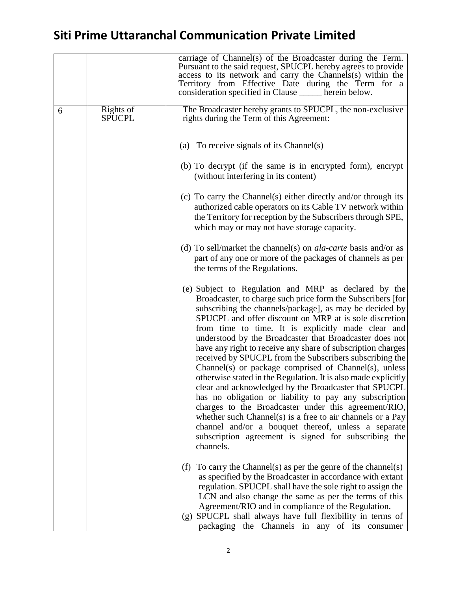|   |                            | carriage of Channel(s) of the Broadcaster during the Term.<br>Pursuant to the said request, SPUCPL hereby agrees to provide<br>access to its network and carry the Channels(s) within the<br>Territory from Effective Date during the Term for a<br>consideration specified in Clause ______ herein below.                                                                                                                                                                                                                                                                                                                                                                                                                                                                                                                                                                                                                                                                           |
|---|----------------------------|--------------------------------------------------------------------------------------------------------------------------------------------------------------------------------------------------------------------------------------------------------------------------------------------------------------------------------------------------------------------------------------------------------------------------------------------------------------------------------------------------------------------------------------------------------------------------------------------------------------------------------------------------------------------------------------------------------------------------------------------------------------------------------------------------------------------------------------------------------------------------------------------------------------------------------------------------------------------------------------|
| 6 | Rights of<br><b>SPUCPL</b> | The Broadcaster hereby grants to SPUCPL, the non-exclusive<br>rights during the Term of this Agreement:                                                                                                                                                                                                                                                                                                                                                                                                                                                                                                                                                                                                                                                                                                                                                                                                                                                                              |
|   |                            | (a) To receive signals of its Channel(s)                                                                                                                                                                                                                                                                                                                                                                                                                                                                                                                                                                                                                                                                                                                                                                                                                                                                                                                                             |
|   |                            | (b) To decrypt (if the same is in encrypted form), encrypt<br>(without interfering in its content)                                                                                                                                                                                                                                                                                                                                                                                                                                                                                                                                                                                                                                                                                                                                                                                                                                                                                   |
|   |                            | (c) To carry the Channel(s) either directly and/or through its<br>authorized cable operators on its Cable TV network within<br>the Territory for reception by the Subscribers through SPE,<br>which may or may not have storage capacity.                                                                                                                                                                                                                                                                                                                                                                                                                                                                                                                                                                                                                                                                                                                                            |
|   |                            | (d) To sell/market the channel(s) on <i>ala-carte</i> basis and/or as<br>part of any one or more of the packages of channels as per<br>the terms of the Regulations.                                                                                                                                                                                                                                                                                                                                                                                                                                                                                                                                                                                                                                                                                                                                                                                                                 |
|   |                            | (e) Subject to Regulation and MRP as declared by the<br>Broadcaster, to charge such price form the Subscribers [for]<br>subscribing the channels/package], as may be decided by<br>SPUCPL and offer discount on MRP at is sole discretion<br>from time to time. It is explicitly made clear and<br>understood by the Broadcaster that Broadcaster does not<br>have any right to receive any share of subscription charges<br>received by SPUCPL from the Subscribers subscribing the<br>Channel(s) or package comprised of Channel(s), unless<br>otherwise stated in the Regulation. It is also made explicitly<br>clear and acknowledged by the Broadcaster that SPUCPL<br>has no obligation or liability to pay any subscription<br>charges to the Broadcaster under this agreement/RIO,<br>whether such Channel(s) is a free to air channels or a Pay<br>channel and/or a bouquet thereof, unless a separate<br>subscription agreement is signed for subscribing the<br>channels. |
|   |                            | To carry the Channel(s) as per the genre of the channel(s)<br>(f)<br>as specified by the Broadcaster in accordance with extant<br>regulation. SPUCPL shall have the sole right to assign the<br>LCN and also change the same as per the terms of this<br>Agreement/RIO and in compliance of the Regulation.<br>(g) SPUCPL shall always have full flexibility in terms of<br>packaging the Channels in any of its consumer                                                                                                                                                                                                                                                                                                                                                                                                                                                                                                                                                            |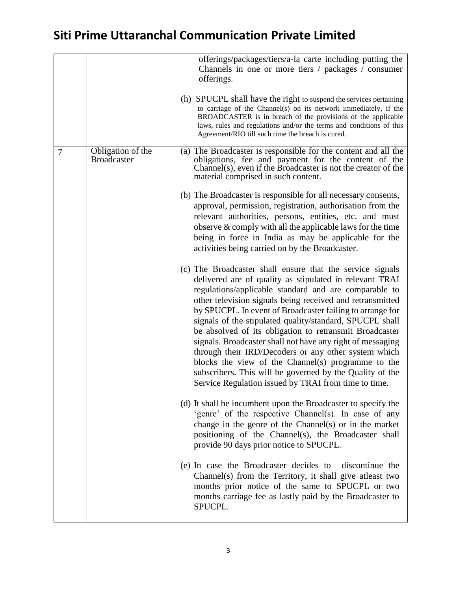|                |                                         | offerings/packages/tiers/a-la carte including putting the<br>Channels in one or more tiers / packages / consumer<br>offerings.<br>(h) SPUCPL shall have the right to suspend the services pertaining<br>to carriage of the Channel(s) on its network immediately, if the<br>BROADCASTER is in breach of the provisions of the applicable<br>laws, rules and regulations and/or the terms and conditions of this<br>Agreement/RIO till such time the breach is cured.                                                                                                                                                                                                                                                           |
|----------------|-----------------------------------------|--------------------------------------------------------------------------------------------------------------------------------------------------------------------------------------------------------------------------------------------------------------------------------------------------------------------------------------------------------------------------------------------------------------------------------------------------------------------------------------------------------------------------------------------------------------------------------------------------------------------------------------------------------------------------------------------------------------------------------|
| $\overline{7}$ | Obligation of the<br><b>Broadcaster</b> | (a) The Broadcaster is responsible for the content and all the<br>obligations, fee and payment for the content of the<br>Channel(s), even if the Broadcaster is not the creator of the<br>material comprised in such content.<br>(b) The Broadcaster is responsible for all necessary consents,<br>approval, permission, registration, authorisation from the<br>relevant authorities, persons, entities, etc. and must<br>observe $&$ comply with all the applicable laws for the time<br>being in force in India as may be applicable for the<br>activities being carried on by the Broadcaster.                                                                                                                             |
|                |                                         | (c) The Broadcaster shall ensure that the service signals<br>delivered are of quality as stipulated in relevant TRAI<br>regulations/applicable standard and are comparable to<br>other television signals being received and retransmitted<br>by SPUCPL. In event of Broadcaster failing to arrange for<br>signals of the stipulated quality/standard, SPUCPL shall<br>be absolved of its obligation to retransmit Broadcaster<br>signals. Broadcaster shall not have any right of messaging<br>through their IRD/Decoders or any other system which<br>blocks the view of the Channel(s) programme to the<br>subscribers. This will be governed by the Quality of the<br>Service Regulation issued by TRAI from time to time. |
|                |                                         | (d) It shall be incumbent upon the Broadcaster to specify the<br>'genre' of the respective Channel(s). In case of any<br>change in the genre of the Channel(s) or in the market<br>positioning of the Channel(s), the Broadcaster shall<br>provide 90 days prior notice to SPUCPL.                                                                                                                                                                                                                                                                                                                                                                                                                                             |
|                |                                         | (e) In case the Broadcaster decides to discontinue the<br>Channel(s) from the Territory, it shall give at least two<br>months prior notice of the same to SPUCPL or two<br>months carriage fee as lastly paid by the Broadcaster to<br>SPUCPL.                                                                                                                                                                                                                                                                                                                                                                                                                                                                                 |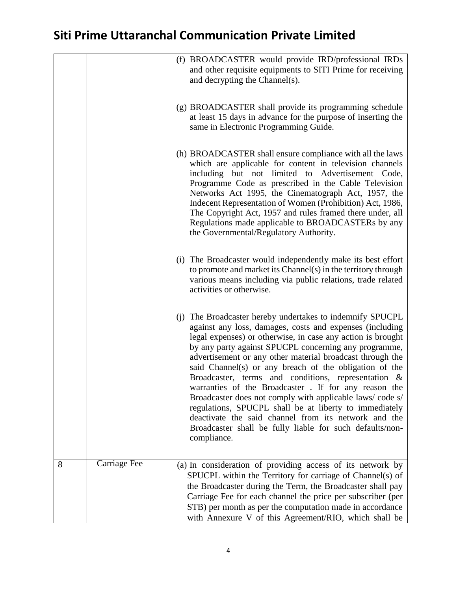|   |                     | (f) BROADCASTER would provide IRD/professional IRDs<br>and other requisite equipments to SITI Prime for receiving<br>and decrypting the Channel(s).                                                                                                                                                                                                                                                                                                                                                                                                                                                                                                                                                                                           |
|---|---------------------|-----------------------------------------------------------------------------------------------------------------------------------------------------------------------------------------------------------------------------------------------------------------------------------------------------------------------------------------------------------------------------------------------------------------------------------------------------------------------------------------------------------------------------------------------------------------------------------------------------------------------------------------------------------------------------------------------------------------------------------------------|
|   |                     | (g) BROADCASTER shall provide its programming schedule<br>at least 15 days in advance for the purpose of inserting the<br>same in Electronic Programming Guide.                                                                                                                                                                                                                                                                                                                                                                                                                                                                                                                                                                               |
|   |                     | (h) BROADCASTER shall ensure compliance with all the laws<br>which are applicable for content in television channels<br>including but not limited to Advertisement Code,<br>Programme Code as prescribed in the Cable Television<br>Networks Act 1995, the Cinematograph Act, 1957, the<br>Indecent Representation of Women (Prohibition) Act, 1986,<br>The Copyright Act, 1957 and rules framed there under, all<br>Regulations made applicable to BROADCASTERs by any<br>the Governmental/Regulatory Authority.                                                                                                                                                                                                                             |
|   |                     | (i) The Broadcaster would independently make its best effort<br>to promote and market its Channel(s) in the territory through<br>various means including via public relations, trade related<br>activities or otherwise.                                                                                                                                                                                                                                                                                                                                                                                                                                                                                                                      |
|   |                     | (j) The Broadcaster hereby undertakes to indemnify SPUCPL<br>against any loss, damages, costs and expenses (including<br>legal expenses) or otherwise, in case any action is brought<br>by any party against SPUCPL concerning any programme,<br>advertisement or any other material broadcast through the<br>said Channel(s) or any breach of the obligation of the<br>Broadcaster, terms and conditions, representation &<br>warranties of the Broadcaster . If for any reason the<br>Broadcaster does not comply with applicable laws/code s/<br>regulations, SPUCPL shall be at liberty to immediately<br>deactivate the said channel from its network and the<br>Broadcaster shall be fully liable for such defaults/non-<br>compliance. |
| 8 | <b>Carriage Fee</b> | (a) In consideration of providing access of its network by<br>SPUCPL within the Territory for carriage of Channel(s) of<br>the Broadcaster during the Term, the Broadcaster shall pay<br>Carriage Fee for each channel the price per subscriber (per<br>STB) per month as per the computation made in accordance<br>with Annexure V of this Agreement/RIO, which shall be                                                                                                                                                                                                                                                                                                                                                                     |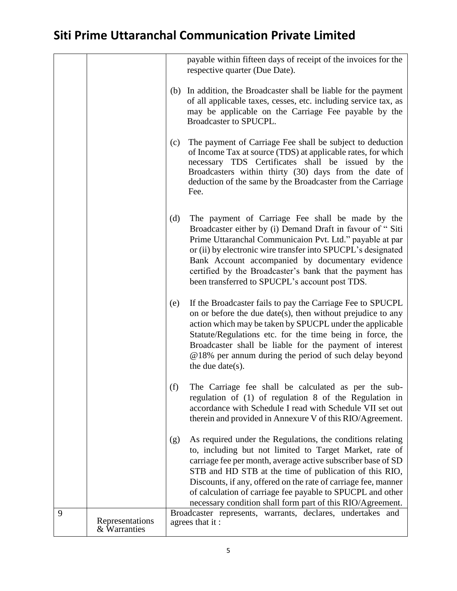|   |                                 | payable within fifteen days of receipt of the invoices for the<br>respective quarter (Due Date).                                                                                                                                                                                                                                                                                                                                                     |
|---|---------------------------------|------------------------------------------------------------------------------------------------------------------------------------------------------------------------------------------------------------------------------------------------------------------------------------------------------------------------------------------------------------------------------------------------------------------------------------------------------|
|   |                                 | In addition, the Broadcaster shall be liable for the payment<br>(b)<br>of all applicable taxes, cesses, etc. including service tax, as<br>may be applicable on the Carriage Fee payable by the<br>Broadcaster to SPUCPL.                                                                                                                                                                                                                             |
|   |                                 | The payment of Carriage Fee shall be subject to deduction<br>(c)<br>of Income Tax at source (TDS) at applicable rates, for which<br>necessary TDS Certificates shall be issued by the<br>Broadcasters within thirty (30) days from the date of<br>deduction of the same by the Broadcaster from the Carriage<br>Fee.                                                                                                                                 |
|   |                                 | (d)<br>The payment of Carriage Fee shall be made by the<br>Broadcaster either by (i) Demand Draft in favour of "Siti<br>Prime Uttaranchal Communicaion Pvt. Ltd." payable at par<br>or (ii) by electronic wire transfer into SPUCPL's designated<br>Bank Account accompanied by documentary evidence<br>certified by the Broadcaster's bank that the payment has<br>been transferred to SPUCPL's account post TDS.                                   |
|   |                                 | If the Broadcaster fails to pay the Carriage Fee to SPUCPL<br>(e)<br>on or before the due date(s), then without prejudice to any<br>action which may be taken by SPUCPL under the applicable<br>Statute/Regulations etc. for the time being in force, the<br>Broadcaster shall be liable for the payment of interest<br>@18% per annum during the period of such delay beyond<br>the due date( $s$ ).                                                |
|   |                                 | (f)<br>The Carriage fee shall be calculated as per the sub-<br>regulation of (1) of regulation 8 of the Regulation in<br>accordance with Schedule I read with Schedule VII set out<br>therein and provided in Annexure V of this RIO/Agreement.                                                                                                                                                                                                      |
|   |                                 | As required under the Regulations, the conditions relating<br>(g)<br>to, including but not limited to Target Market, rate of<br>carriage fee per month, average active subscriber base of SD<br>STB and HD STB at the time of publication of this RIO,<br>Discounts, if any, offered on the rate of carriage fee, manner<br>of calculation of carriage fee payable to SPUCPL and other<br>necessary condition shall form part of this RIO/Agreement. |
| 9 | Representations<br>& Warranties | Broadcaster represents, warrants, declares, undertakes and<br>agrees that it:                                                                                                                                                                                                                                                                                                                                                                        |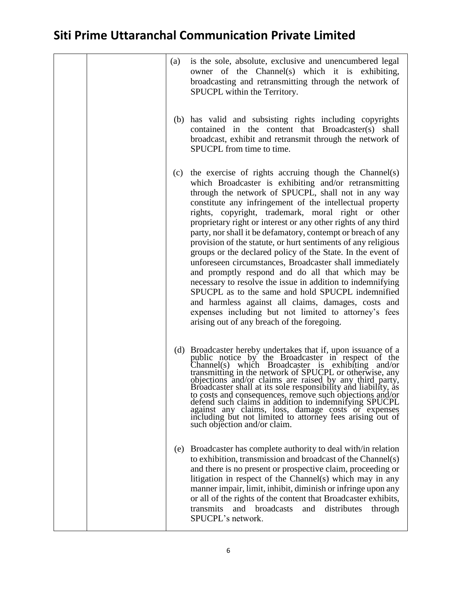|  | (a) | is the sole, absolute, exclusive and unencumbered legal<br>owner of the Channel(s) which it is exhibiting,<br>broadcasting and retransmitting through the network of<br>SPUCPL within the Territory.                                                                                                                                                                                                                                                                                                                                                                                                                                                                                                                                                                                                                                                                                                                                                            |
|--|-----|-----------------------------------------------------------------------------------------------------------------------------------------------------------------------------------------------------------------------------------------------------------------------------------------------------------------------------------------------------------------------------------------------------------------------------------------------------------------------------------------------------------------------------------------------------------------------------------------------------------------------------------------------------------------------------------------------------------------------------------------------------------------------------------------------------------------------------------------------------------------------------------------------------------------------------------------------------------------|
|  |     | (b) has valid and subsisting rights including copyrights<br>contained in the content that Broadcaster(s) shall<br>broadcast, exhibit and retransmit through the network of<br>SPUCPL from time to time.                                                                                                                                                                                                                                                                                                                                                                                                                                                                                                                                                                                                                                                                                                                                                         |
|  |     | (c) the exercise of rights accruing though the Channel(s)<br>which Broadcaster is exhibiting and/or retransmitting<br>through the network of SPUCPL, shall not in any way<br>constitute any infringement of the intellectual property<br>rights, copyright, trademark, moral right or other<br>proprietary right or interest or any other rights of any third<br>party, nor shall it be defamatory, contempt or breach of any<br>provision of the statute, or hurt sentiments of any religious<br>groups or the declared policy of the State. In the event of<br>unforeseen circumstances, Broadcaster shall immediately<br>and promptly respond and do all that which may be<br>necessary to resolve the issue in addition to indemnifying<br>SPUCPL as to the same and hold SPUCPL indemnified<br>and harmless against all claims, damages, costs and<br>expenses including but not limited to attorney's fees<br>arising out of any breach of the foregoing. |
|  |     | (d) Broadcaster hereby undertakes that if, upon issuance of a public notice by the Broadcaster in respect of the<br>Channel(s) which Broadcaster is exhibiting and/or<br>transmitting in the network of SPUCPL or otherwise, any objections and/or claims are raised by any third party,<br>Broadcaster shall at its sole responsibility and liability, as<br>to costs and consequences, remove such objections and/or<br>defend such claims in addition to indemnifying SPUCPL<br>against any claims, loss, damage costs or expenses<br>including but not limited to attorney fees arising out of<br>such objection and/or claim.                                                                                                                                                                                                                                                                                                                              |
|  | (e) | Broadcaster has complete authority to deal with/in relation<br>to exhibition, transmission and broadcast of the Channel(s)<br>and there is no present or prospective claim, proceeding or<br>litigation in respect of the Channel(s) which may in any<br>manner impair, limit, inhibit, diminish or infringe upon any<br>or all of the rights of the content that Broadcaster exhibits,<br>transmits<br>broadcasts<br>distributes<br>and<br>and<br>through<br>SPUCPL's network.                                                                                                                                                                                                                                                                                                                                                                                                                                                                                 |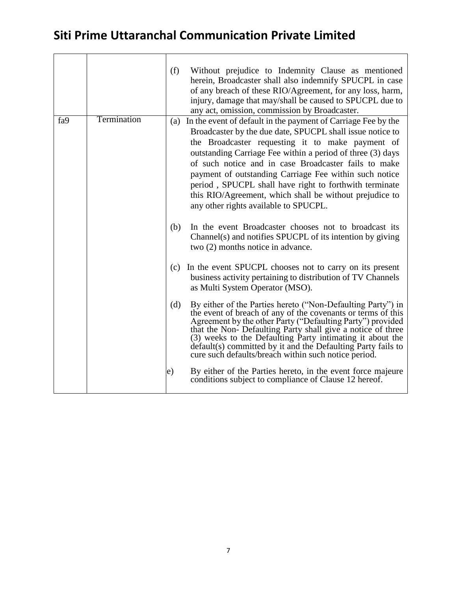|     |             | Without prejudice to Indemnity Clause as mentioned<br>(f)<br>herein, Broadcaster shall also indemnify SPUCPL in case<br>of any breach of these RIO/Agreement, for any loss, harm,<br>injury, damage that may/shall be caused to SPUCPL due to<br>any act, omission, commission by Broadcaster.                                                                                                                                                                                                                                      |
|-----|-------------|-------------------------------------------------------------------------------------------------------------------------------------------------------------------------------------------------------------------------------------------------------------------------------------------------------------------------------------------------------------------------------------------------------------------------------------------------------------------------------------------------------------------------------------|
| fa9 | Termination | In the event of default in the payment of Carriage Fee by the<br>(a)<br>Broadcaster by the due date, SPUCPL shall issue notice to<br>the Broadcaster requesting it to make payment of<br>outstanding Carriage Fee within a period of three (3) days<br>of such notice and in case Broadcaster fails to make<br>payment of outstanding Carriage Fee within such notice<br>period, SPUCPL shall have right to forthwith terminate<br>this RIO/Agreement, which shall be without prejudice to<br>any other rights available to SPUCPL. |
|     |             | In the event Broadcaster chooses not to broadcast its<br>(b)<br>Channel(s) and notifies SPUCPL of its intention by giving<br>two (2) months notice in advance.                                                                                                                                                                                                                                                                                                                                                                      |
|     |             | In the event SPUCPL chooses not to carry on its present<br>(c)<br>business activity pertaining to distribution of TV Channels<br>as Multi System Operator (MSO).                                                                                                                                                                                                                                                                                                                                                                    |
|     |             | By either of the Parties hereto ("Non-Defaulting Party") in<br>(d)<br>the event of breach of any of the covenants or terms of this<br>Agreement by the other Party ("Defaulting Party") provided<br>that the Non- Defaulting Party shall give a notice of three<br>(3) weeks to the Defaulting Party intimating it about the<br>default(s) committed by it and the Defaulting Party fails to<br>cure such defaults/breach within such notice period.                                                                                |
|     |             | By either of the Parties hereto, in the event force majeure<br>e)<br>conditions subject to compliance of Clause 12 hereof.                                                                                                                                                                                                                                                                                                                                                                                                          |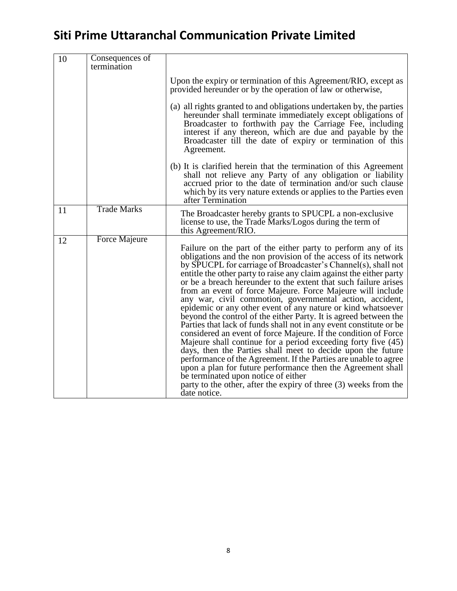| 10 | Consequences of<br>termination |                                                                                                                                                                                                                                                                                                                                                                                                                                                                                                                                                                                                                                                                                                                                                                                                                                                                                                                                                                                                                                                                                                                                                  |
|----|--------------------------------|--------------------------------------------------------------------------------------------------------------------------------------------------------------------------------------------------------------------------------------------------------------------------------------------------------------------------------------------------------------------------------------------------------------------------------------------------------------------------------------------------------------------------------------------------------------------------------------------------------------------------------------------------------------------------------------------------------------------------------------------------------------------------------------------------------------------------------------------------------------------------------------------------------------------------------------------------------------------------------------------------------------------------------------------------------------------------------------------------------------------------------------------------|
|    |                                | Upon the expiry or termination of this Agreement/RIO, except as<br>provided hereunder or by the operation of law or otherwise,                                                                                                                                                                                                                                                                                                                                                                                                                                                                                                                                                                                                                                                                                                                                                                                                                                                                                                                                                                                                                   |
|    |                                | (a) all rights granted to and obligations undertaken by, the parties<br>hereunder shall terminate immediately except obligations of<br>Broadcaster to forthwith pay the Carriage Fee, including<br>interest if any thereon, which are due and payable by the<br>Broadcaster till the date of expiry or termination of this<br>Agreement.                                                                                                                                                                                                                                                                                                                                                                                                                                                                                                                                                                                                                                                                                                                                                                                                         |
|    |                                | (b) It is clarified herein that the termination of this Agreement<br>shall not relieve any Party of any obligation or liability<br>accrued prior to the date of termination and/or such clause<br>which by its very nature extends or applies to the Parties even<br>after Termination                                                                                                                                                                                                                                                                                                                                                                                                                                                                                                                                                                                                                                                                                                                                                                                                                                                           |
| 11 | <b>Trade Marks</b>             | The Broadcaster hereby grants to SPUCPL a non-exclusive<br>license to use, the Trade Marks/Logos during the term of<br>this Agreement/RIO.                                                                                                                                                                                                                                                                                                                                                                                                                                                                                                                                                                                                                                                                                                                                                                                                                                                                                                                                                                                                       |
| 12 | Force Majeure                  | Failure on the part of the either party to perform any of its<br>obligations and the non provision of the access of its network<br>by SPUCPL for carriage of Broadcaster's Channel(s), shall not<br>entitle the other party to raise any claim against the either party<br>or be a breach hereunder to the extent that such failure arises<br>from an event of force Majeure. Force Majeure will include<br>any war, civil commotion, governmental action, accident,<br>epidemic or any other event of any nature or kind whatsoever<br>beyond the control of the either Party. It is agreed between the<br>Parties that lack of funds shall not in any event constitute or be.<br>considered an event of force Majeure. If the condition of Force<br>Majeure shall continue for a period exceeding forty five (45)<br>days, then the Parties shall meet to decide upon the future<br>performance of the Agreement. If the Parties are unable to agree<br>upon a plan for future performance then the Agreement shall<br>be terminated upon notice of either<br>party to the other, after the expiry of three (3) weeks from the<br>date notice. |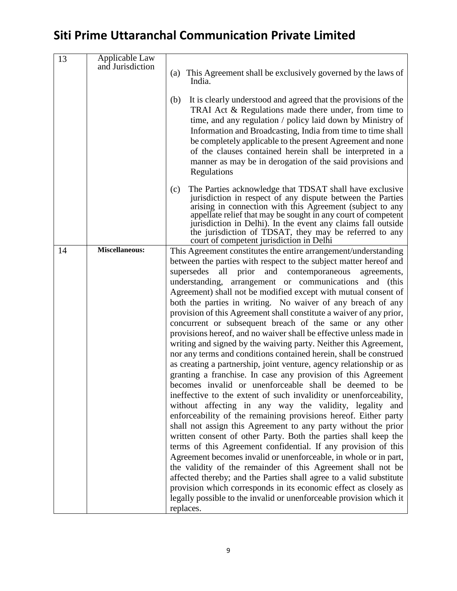| 13 | Applicable Law<br>and Jurisdiction | (a) This Agreement shall be exclusively governed by the laws of<br>India.<br>It is clearly understood and agreed that the provisions of the<br>(b)<br>TRAI Act & Regulations made there under, from time to<br>time, and any regulation / policy laid down by Ministry of<br>Information and Broadcasting, India from time to time shall<br>be completely applicable to the present Agreement and none<br>of the clauses contained herein shall be interpreted in a<br>manner as may be in derogation of the said provisions and<br>Regulations                                                                                                                                                                                                                                                                                                                                                                                                                                                                                                                                                                                                                                                                                                                                                                                                                                                                                                                                                                                                                                                                                                                                                                                      |
|----|------------------------------------|--------------------------------------------------------------------------------------------------------------------------------------------------------------------------------------------------------------------------------------------------------------------------------------------------------------------------------------------------------------------------------------------------------------------------------------------------------------------------------------------------------------------------------------------------------------------------------------------------------------------------------------------------------------------------------------------------------------------------------------------------------------------------------------------------------------------------------------------------------------------------------------------------------------------------------------------------------------------------------------------------------------------------------------------------------------------------------------------------------------------------------------------------------------------------------------------------------------------------------------------------------------------------------------------------------------------------------------------------------------------------------------------------------------------------------------------------------------------------------------------------------------------------------------------------------------------------------------------------------------------------------------------------------------------------------------------------------------------------------------|
|    |                                    | The Parties acknowledge that TDSAT shall have exclusive<br>(c)<br>jurisdiction in respect of any dispute between the Parties<br>arising in connection with this Agreement (subject to any<br>appellate relief that may be sought in any court of competent<br>jurisdiction in Delhi). In the event any claims fall outside<br>the jurisdiction of TDSAT, they may be referred to any<br>court of competent jurisdiction in Delhi                                                                                                                                                                                                                                                                                                                                                                                                                                                                                                                                                                                                                                                                                                                                                                                                                                                                                                                                                                                                                                                                                                                                                                                                                                                                                                     |
| 14 | <b>Miscellaneous:</b>              | This Agreement constitutes the entire arrangement/understanding<br>between the parties with respect to the subject matter hereof and<br>supersedes<br>and contemporaneous<br>all<br>prior<br>agreements,<br>understanding, arrangement or communications and (this<br>Agreement) shall not be modified except with mutual consent of<br>both the parties in writing. No waiver of any breach of any<br>provision of this Agreement shall constitute a waiver of any prior,<br>concurrent or subsequent breach of the same or any other<br>provisions hereof, and no waiver shall be effective unless made in<br>writing and signed by the waiving party. Neither this Agreement,<br>nor any terms and conditions contained herein, shall be construed<br>as creating a partnership, joint venture, agency relationship or as<br>granting a franchise. In case any provision of this Agreement<br>becomes invalid or unenforceable shall be deemed to be<br>ineffective to the extent of such invalidity or unenforceability,<br>without affecting in any way the validity, legality and<br>enforceability of the remaining provisions hereof. Either party<br>shall not assign this Agreement to any party without the prior<br>written consent of other Party. Both the parties shall keep the<br>terms of this Agreement confidential. If any provision of this<br>Agreement becomes invalid or unenforceable, in whole or in part,<br>the validity of the remainder of this Agreement shall not be<br>affected thereby; and the Parties shall agree to a valid substitute<br>provision which corresponds in its economic effect as closely as<br>legally possible to the invalid or unenforceable provision which it<br>replaces. |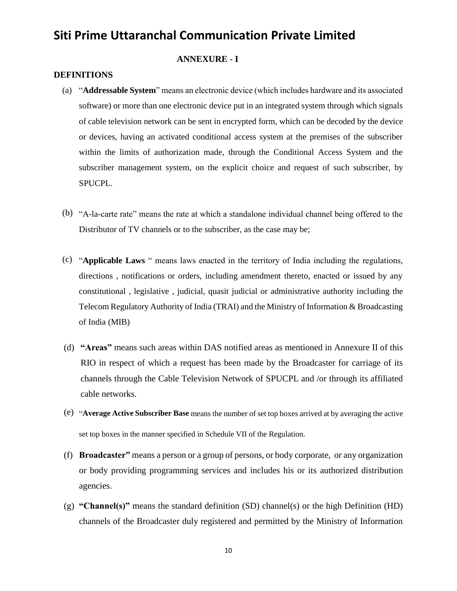#### **ANNEXURE - I**

#### **DEFINITIONS**

- (a) "**Addressable System**" means an electronic device (which includes hardware and its associated software) or more than one electronic device put in an integrated system through which signals of cable television network can be sent in encrypted form, which can be decoded by the device or devices, having an activated conditional access system at the premises of the subscriber within the limits of authorization made, through the Conditional Access System and the subscriber management system, on the explicit choice and request of such subscriber, by SPUCPL.
- (b) "A-la-carte rate" means the rate at which a standalone individual channel being offered to the Distributor of TV channels or to the subscriber, as the case may be;
- (c) "**Applicable Laws** " means laws enacted in the territory of India including the regulations, directions , notifications or orders, including amendment thereto, enacted or issued by any constitutional , legislative , judicial, quasit judicial or administrative authority including the Telecom Regulatory Authority of India (TRAI) and the Ministry of Information & Broadcasting of India (MIB)
- (d) **"Areas"** means such areas within DAS notified areas as mentioned in Annexure II of this RIO in respect of which a request has been made by the Broadcaster for carriage of its channels through the Cable Television Network of SPUCPL and /or through its affiliated cable networks.
- (e) "**Average Active Subscriber Base** means the number of set top boxes arrived at by averaging the active set top boxes in the manner specified in Schedule VII of the Regulation.
- (f) **Broadcaster"** means a person or a group of persons, or body corporate, or any organization or body providing programming services and includes his or its authorized distribution agencies.
- (g) **"Channel(s)"** means the standard definition (SD) channel(s) or the high Definition (HD) channels of the Broadcaster duly registered and permitted by the Ministry of Information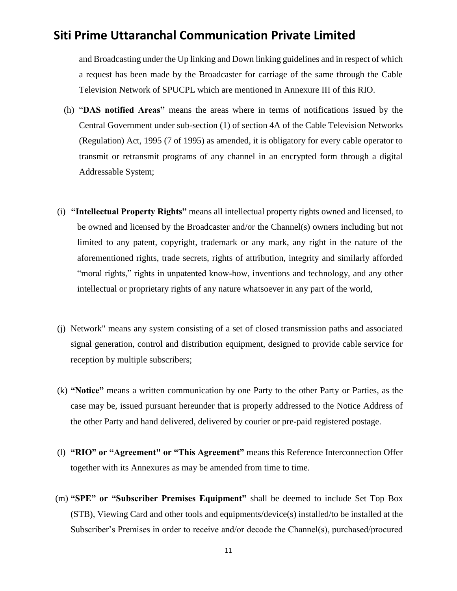and Broadcasting under the Up linking and Down linking guidelines and in respect of which a request has been made by the Broadcaster for carriage of the same through the Cable Television Network of SPUCPL which are mentioned in Annexure III of this RIO.

- (h) "**DAS notified Areas"** means the areas where in terms of notifications issued by the Central Government under sub-section (1) of section 4A of the Cable Television Networks (Regulation) Act, 1995 (7 of 1995) as amended, it is obligatory for every cable operator to transmit or retransmit programs of any channel in an encrypted form through a digital Addressable System;
- (i) **"Intellectual Property Rights"** means all intellectual property rights owned and licensed, to be owned and licensed by the Broadcaster and/or the Channel(s) owners including but not limited to any patent, copyright, trademark or any mark, any right in the nature of the aforementioned rights, trade secrets, rights of attribution, integrity and similarly afforded "moral rights," rights in unpatented know-how, inventions and technology, and any other intellectual or proprietary rights of any nature whatsoever in any part of the world,
- (j) Network" means any system consisting of a set of closed transmission paths and associated signal generation, control and distribution equipment, designed to provide cable service for reception by multiple subscribers;
- (k) **"Notice"** means a written communication by one Party to the other Party or Parties, as the case may be, issued pursuant hereunder that is properly addressed to the Notice Address of the other Party and hand delivered, delivered by courier or pre-paid registered postage.
- (l) **"RIO" or "Agreement" or "This Agreement"** means this Reference Interconnection Offer together with its Annexures as may be amended from time to time.
- (m) **"SPE" or "Subscriber Premises Equipment"** shall be deemed to include Set Top Box (STB), Viewing Card and other tools and equipments/device(s) installed/to be installed at the Subscriber's Premises in order to receive and/or decode the Channel(s), purchased/procured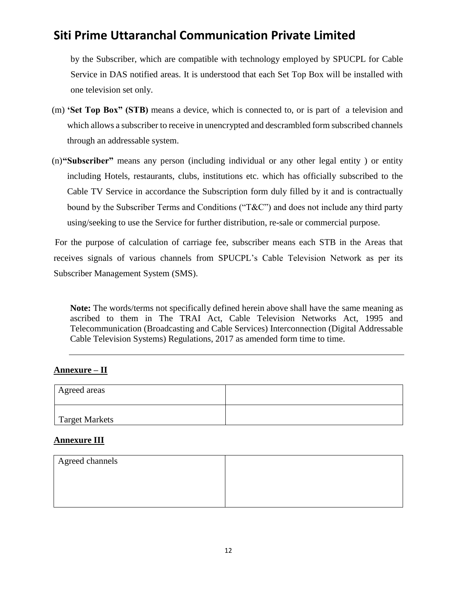by the Subscriber, which are compatible with technology employed by SPUCPL for Cable Service in DAS notified areas. It is understood that each Set Top Box will be installed with one television set only.

- (m) **'Set Top Box" (STB)** means a device, which is connected to, or is part of a television and which allows a subscriber to receive in unencrypted and descrambled form subscribed channels through an addressable system.
- (n)**"Subscriber"** means any person (including individual or any other legal entity ) or entity including Hotels, restaurants, clubs, institutions etc. which has officially subscribed to the Cable TV Service in accordance the Subscription form duly filled by it and is contractually bound by the Subscriber Terms and Conditions ("T&C") and does not include any third party using/seeking to use the Service for further distribution, re-sale or commercial purpose.

For the purpose of calculation of carriage fee, subscriber means each STB in the Areas that receives signals of various channels from SPUCPL's Cable Television Network as per its Subscriber Management System (SMS).

**Note:** The words/terms not specifically defined herein above shall have the same meaning as ascribed to them in The TRAI Act, Cable Television Networks Act, 1995 and Telecommunication (Broadcasting and Cable Services) Interconnection (Digital Addressable Cable Television Systems) Regulations, 2017 as amended form time to time.

### **Annexure – II**

| Agreed areas          |  |
|-----------------------|--|
| <b>Target Markets</b> |  |

#### **Annexure III**

| Agreed channels |  |
|-----------------|--|
|                 |  |
|                 |  |
|                 |  |